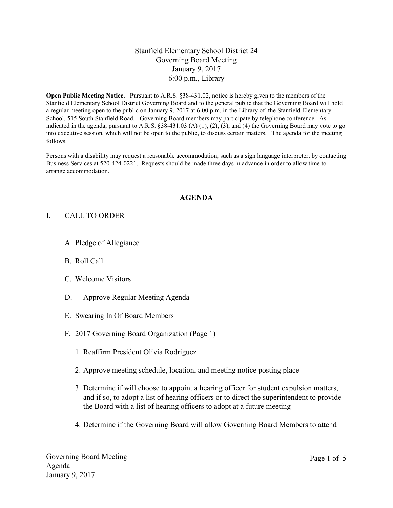## Stanfield Elementary School District 24 Governing Board Meeting January 9, 2017 6:00 p.m., Library

**Open Public Meeting Notice.** Pursuant to A.R.S. §38-431.02, notice is hereby given to the members of the Stanfield Elementary School District Governing Board and to the general public that the Governing Board will hold a regular meeting open to the public on January 9, 2017 at 6:00 p.m. in the Library of the Stanfield Elementary School, 515 South Stanfield Road. Governing Board members may participate by telephone conference. As indicated in the agenda, pursuant to A.R.S. §38-431.03 (A) (1), (2), (3), and (4) the Governing Board may vote to go into executive session, which will not be open to the public, to discuss certain matters. The agenda for the meeting follows.

Persons with a disability may request a reasonable accommodation, such as a sign language interpreter, by contacting Business Services at 520-424-0221. Requests should be made three days in advance in order to allow time to arrange accommodation.

#### **AGENDA**

### I. CALL TO ORDER

- A. Pledge of Allegiance
- B. Roll Call
- C. Welcome Visitors
- D. Approve Regular Meeting Agenda
- E. Swearing In Of Board Members
- F. 2017 Governing Board Organization (Page 1)
	- 1. Reaffirm President Olivia Rodriguez
	- 2. Approve meeting schedule, location, and meeting notice posting place
	- 3. Determine if will choose to appoint a hearing officer for student expulsion matters, and if so, to adopt a list of hearing officers or to direct the superintendent to provide the Board with a list of hearing officers to adopt at a future meeting
	- 4. Determine if the Governing Board will allow Governing Board Members to attend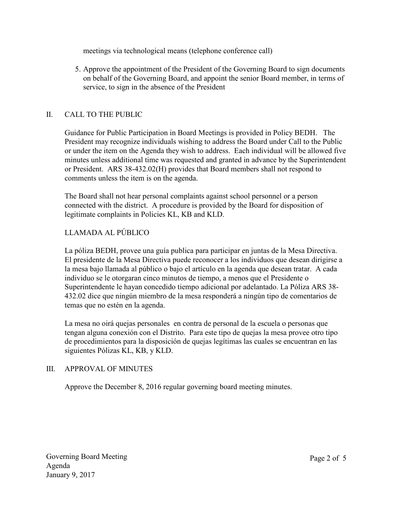meetings via technological means (telephone conference call)

5. Approve the appointment of the President of the Governing Board to sign documents on behalf of the Governing Board, and appoint the senior Board member, in terms of service, to sign in the absence of the President

## II. CALL TO THE PUBLIC

Guidance for Public Participation in Board Meetings is provided in Policy BEDH. The President may recognize individuals wishing to address the Board under Call to the Public or under the item on the Agenda they wish to address. Each individual will be allowed five minutes unless additional time was requested and granted in advance by the Superintendent or President. ARS 38-432.02(H) provides that Board members shall not respond to comments unless the item is on the agenda.

The Board shall not hear personal complaints against school personnel or a person connected with the district. A procedure is provided by the Board for disposition of legitimate complaints in Policies KL, KB and KLD.

# LLAMADA AL PÚBLICO

La póliza BEDH, provee una guía publica para participar en juntas de la Mesa Directiva. El presidente de la Mesa Directiva puede reconocer a los individuos que desean dirigirse a la mesa bajo llamada al público o bajo el artículo en la agenda que desean tratar. A cada individuo se le otorgaran cinco minutos de tiempo, a menos que el Presidente o Superintendente le hayan concedido tiempo adicional por adelantado. La Póliza ARS 38- 432.02 dice que ningún miembro de la mesa responderá a ningún tipo de comentarios de temas que no estén en la agenda.

La mesa no oirá quejas personales en contra de personal de la escuela o personas que tengan alguna conexión con el Distrito. Para este tipo de quejas la mesa provee otro tipo de procedimientos para la disposición de quejas legítimas las cuales se encuentran en las siguientes Pólizas KL, KB, y KLD.

## III. APPROVAL OF MINUTES

Approve the December 8, 2016 regular governing board meeting minutes.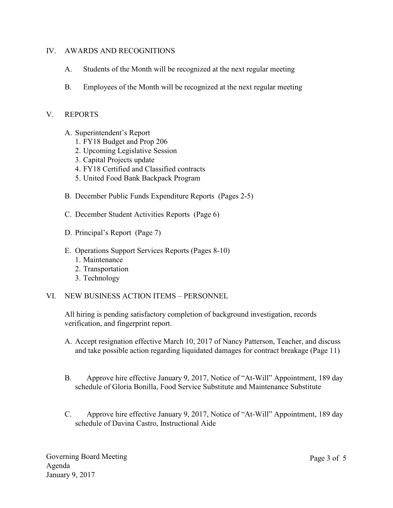### IV. AWARDS AND RECOGNITIONS

- A. Students of the Month will be recognized at the next regular meeting
- B. Employees of the Month will be recognized at the next regular meeting

## V. REPORTS

- A. Superintendent's Report
	- 1. FY18 Budget and Prop 206
	- 2. Upcoming Legislative Session
	- 3. Capital Projects update
	- 4. FY18 Certified and Classified contracts
	- 5. United Food Bank Backpack Program
- B. December Public Funds Expenditure Reports (Pages 2-5)
- C. December Student Activities Reports (Page 6)
- D. Principal's Report (Page 7)
- E. Operations Support Services Reports (Pages 8-10)
	- 1. Maintenance
	- 2. Transportation
	- 3. Technology
- VI. NEW BUSINESS ACTION ITEMS PERSONNEL

All hiring is pending satisfactory completion of background investigation, records verification, and fingerprint report.

- A. Accept resignation effective March 10, 2017 of Nancy Patterson, Teacher, and discuss and take possible action regarding liquidated damages for contract breakage (Page 11)
- B. Approve hire effective January 9, 2017, Notice of "At-Will" Appointment, 189 day schedule of Gloria Bonilla, Food Service Substitute and Maintenance Substitute
- C. Approve hire effective January 9, 2017, Notice of "At-Will" Appointment, 189 day schedule of Davina Castro, Instructional Aide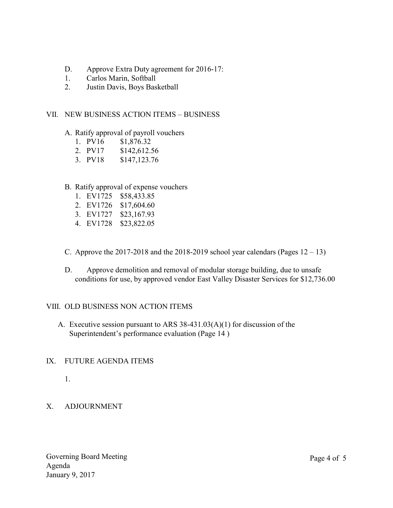- D. Approve Extra Duty agreement for 2016-17:
- 1. Carlos Marin, Softball
- 2. Justin Davis, Boys Basketball

### VII. NEW BUSINESS ACTION ITEMS – BUSINESS

### A. Ratify approval of payroll vouchers

- 1. PV16 \$1,876.32
- 2. PV17 \$142,612.56
- 3. PV18 \$147,123.76

### B. Ratify approval of expense vouchers

- 1. EV1725 \$58,433.85
- 2. EV1726 \$17,604.60
- 3. EV1727 \$23,167.93
- 4. EV1728 \$23,822.05
- C. Approve the 2017-2018 and the 2018-2019 school year calendars (Pages  $12 13$ )
- D. Approve demolition and removal of modular storage building, due to unsafe conditions for use, by approved vendor East Valley Disaster Services for \$12,736.00

## VIII. OLD BUSINESS NON ACTION ITEMS

A. Executive session pursuant to ARS 38-431.03(A)(1) for discussion of the Superintendent's performance evaluation (Page 14 )

## IX. FUTURE AGENDA ITEMS

1.

## X. ADJOURNMENT